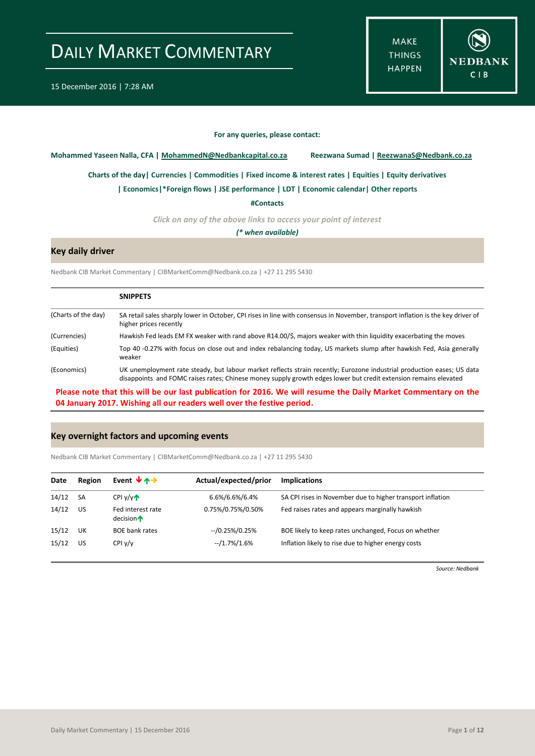**MAKE THINGS HAPPEN** 



**For any queries, please contact:**

<span id="page-0-0"></span>**Mohammed Yaseen Nalla, CFA | MohammedN@Nedbankcapital.co.za Reezwana Sumad | ReezwanaS@Nedbank.co.za**

**[Charts of the day|](#page-1-0) [Currencies](#page-2-0) [| Commodities](#page-3-0) | [Fixed income & interest rates](#page-4-0) [| Equities](#page-5-0) | Equity derivatives**

**[| Economics|](#page-6-0)\*Foreign flows | [JSE performance](#page-8-0) | LDT [| Economic calendar|](#page-9-0) Other reports** 

**[#Contacts](#page-10-0)**

*Click on any of the above links to access your point of interest*

*(\* when available)*

### **Key daily driver**

Nedbank CIB Market Commentary | CIBMarketComm@Nedbank.co.za | +27 11 295 5430

|                     | <b>SNIPPETS</b>                                                                                                                                                                                                                            |
|---------------------|--------------------------------------------------------------------------------------------------------------------------------------------------------------------------------------------------------------------------------------------|
| (Charts of the day) | SA retail sales sharply lower in October, CPI rises in line with consensus in November, transport inflation is the key driver of<br>higher prices recently                                                                                 |
| (Currencies)        | Hawkish Fed leads EM FX weaker with rand above R14.00/\$, majors weaker with thin liquidity exacerbating the moves                                                                                                                         |
| (Equities)          | Top 40 -0.27% with focus on close out and index rebalancing today, US markets slump after hawkish Fed, Asia generally<br>weaker                                                                                                            |
| (Economics)         | UK unemployment rate steady, but labour market reflects strain recently; Eurozone industrial production eases; US data<br>disappoints and FOMC raises rates; Chinese money supply growth edges lower but credit extension remains elevated |

**Please note that this will be our last publication for 2016. We will resume the Daily Market Commentary on the 04 January 2017. Wishing all our readers well over the festive period.** 

#### **Key overnight factors and upcoming events**

Nedbank CIB Market Commentary | CIBMarketComm@Nedbank.co.za | +27 11 295 5430

| Date  | Region    | Event $\forall$ $\land \rightarrow$        | Actual/expected/prior | <b>Implications</b>                                        |
|-------|-----------|--------------------------------------------|-----------------------|------------------------------------------------------------|
| 14/12 | <b>SA</b> | $CPI$ $V/V$                                | 6.6%/6.6%/6.4%        | SA CPI rises in November due to higher transport inflation |
| 14/12 | US        | Fed interest rate<br>decision $\spadesuit$ | 0.75%/0.75%/0.50%     | Fed raises rates and appears marginally hawkish            |
| 15/12 | UK        | <b>BOE bank rates</b>                      | $-$ /0.25%/0.25%      | BOE likely to keep rates unchanged, Focus on whether       |
| 15/12 | US        | CPIy/y                                     | $-1.7\%/1.6\%$        | Inflation likely to rise due to higher energy costs        |

*Source: Nedbank*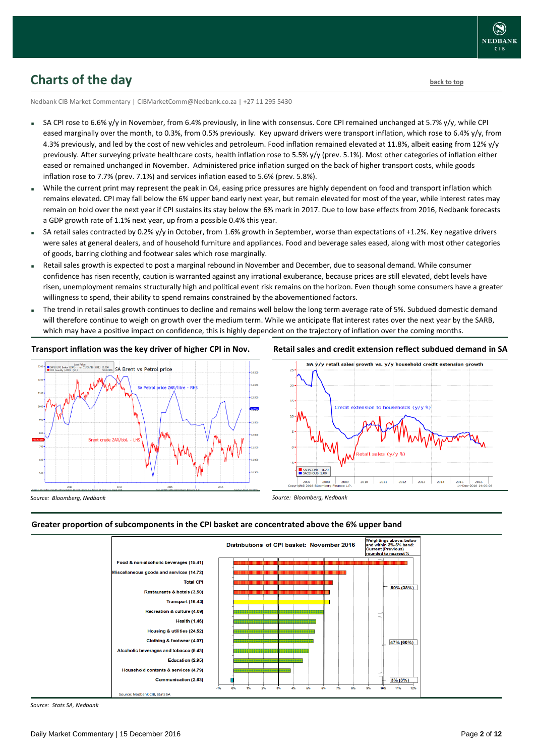## <span id="page-1-0"></span>**Charts of the day** [back to top](#page-0-0) back to top

Nedbank CIB Market Commentary | CIBMarketComm@Nedbank.co.za | +27 11 295 5430

- SA CPI rose to 6.6% y/y in November, from 6.4% previously, in line with consensus. Core CPI remained unchanged at 5.7% y/y, while CPI eased marginally over the month, to 0.3%, from 0.5% previously. Key upward drivers were transport inflation, which rose to 6.4% y/y, from 4.3% previously, and led by the cost of new vehicles and petroleum. Food inflation remained elevated at 11.8%, albeit easing from 12% y/y previously. After surveying private healthcare costs, health inflation rose to 5.5% y/y (prev. 5.1%). Most other categories of inflation either eased or remained unchanged in November. Administered price inflation surged on the back of higher transport costs, while goods inflation rose to 7.7% (prev. 7.1%) and services inflation eased to 5.6% (prev. 5.8%).
- While the current print may represent the peak in Q4, easing price pressures are highly dependent on food and transport inflation which remains elevated. CPI may fall below the 6% upper band early next year, but remain elevated for most of the year, while interest rates may remain on hold over the next year if CPI sustains its stay below the 6% mark in 2017. Due to low base effects from 2016, Nedbank forecasts a GDP growth rate of 1.1% next year, up from a possible 0.4% this year.
- SA retail sales contracted by 0.2% y/y in October, from 1.6% growth in September, worse than expectations of +1.2%. Key negative drivers were sales at general dealers, and of household furniture and appliances. Food and beverage sales eased, along with most other categories of goods, barring clothing and footwear sales which rose marginally.
- Retail sales growth is expected to post a marginal rebound in November and December, due to seasonal demand. While consumer confidence has risen recently, caution is warranted against any irrational exuberance, because prices are still elevated, debt levels have risen, unemployment remains structurally high and political event risk remains on the horizon. Even though some consumers have a greater willingness to spend, their ability to spend remains constrained by the abovementioned factors.
- The trend in retail sales growth continues to decline and remains well below the long term average rate of 5%. Subdued domestic demand will therefore continue to weigh on growth over the medium term. While we anticipate flat interest rates over the next year by the SARB, which may have a positive impact on confidence, this is highly dependent on the trajectory of inflation over the coming months.

#### **Transport inflation was the key driver of higher CPI in Nov.**



**Retail sales and credit extension reflect subdued demand in SA**



*Source: Bloomberg, Nedbank*

*Source: Bloomberg, Nedbank*

#### **Greater proportion of subcomponents in the CPI basket are concentrated above the 6% upper band**



*Source: Stats SA, Nedbank*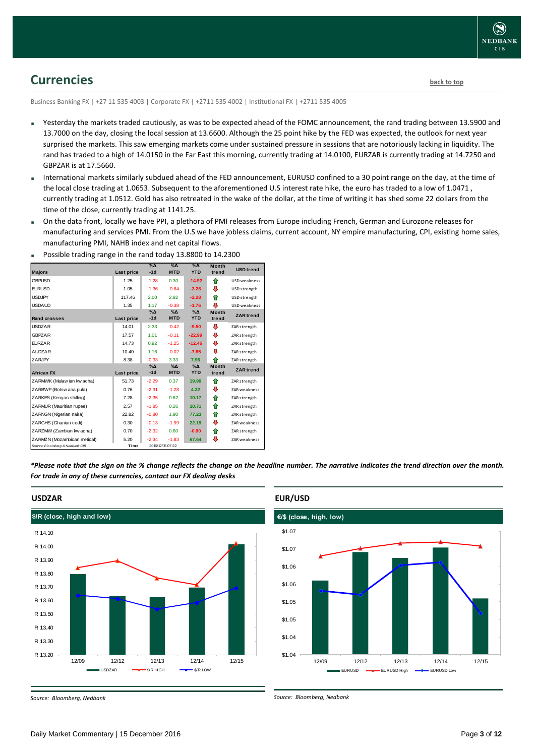## <span id="page-2-0"></span>**Currencies [back to top](#page-0-0)**

Business Banking FX | +27 11 535 4003 | Corporate FX | +2711 535 4002 | Institutional FX | +2711 535 4005

- Yesterday the markets traded cautiously, as was to be expected ahead of the FOMC announcement, the rand trading between 13.5900 and 13.7000 on the day, closing the local session at 13.6600. Although the 25 point hike by the FED was expected, the outlook for next year surprised the markets. This saw emerging markets come under sustained pressure in sessions that are notoriously lacking in liquidity. The rand has traded to a high of 14.0150 in the Far East this morning, currently trading at 14.0100, EURZAR is currently trading at 14.7250 and GBPZAR is at 17.5660.
- International markets similarly subdued ahead of the FED announcement, EURUSD confined to a 30 point range on the day, at the time of the local close trading at 1.0653. Subsequent to the aforementioned U.S interest rate hike, the euro has traded to a low of 1.0471, currently trading at 1.0512. Gold has also retreated in the wake of the dollar, at the time of writing it has shed some 22 dollars from the time of the close, currently trading at 1141.25.
- On the data front, locally we have PPI, a plethora of PMI releases from Europe including French, German and Eurozone releases for manufacturing and services PMI. From the U.S we have jobless claims, current account, NY empire manufacturing, CPI, existing home sales, manufacturing PMI, NAHB index and net capital flows.

| <b>Majors</b>                   | Last price | $\%$ $\Delta$<br>$-1d$ | $\Delta$<br><b>MTD</b>    | $\%$ $\Delta$<br><b>YTD</b> | <b>Month</b><br>trend | <b>USD</b> trend |
|---------------------------------|------------|------------------------|---------------------------|-----------------------------|-----------------------|------------------|
| <b>GBPUSD</b>                   | 1.25       | $-1.28$                | 0.30                      | $-14.92$                    | ⇑                     | USD weakness     |
| <b>EURUSD</b>                   | 1.05       | $-1.36$                | $-0.84$                   | $-3.28$                     | ⊕                     | USD strength     |
| <b>USDJPY</b>                   | 117.46     | 2.00                   | 2.92                      | $-2.28$                     | ♠                     | USD strength     |
| <b>USDAUD</b>                   | 1.35       | 1.17                   | $-0.38$                   | $-1.76$                     | ⊕                     | USD weakness     |
| <b>Rand crosses</b>             | Last price | $\%$ $\Delta$<br>$-1d$ | $\% \Delta$<br><b>MTD</b> | $\Delta$<br><b>YTD</b>      | <b>Month</b><br>trend | <b>ZAR</b> trend |
| <b>USDZAR</b>                   | 14.01      | 2.33                   | $-0.42$                   | $-9.50$                     | ⊕                     | ZAR strength     |
| <b>GBPZAR</b>                   | 17.57      | 1.01                   | $-0.11$                   | $-22.99$                    | ⊕                     | ZAR strength     |
| <b>FURZAR</b>                   | 14.73      | 0.92                   | $-1.25$                   | $-12.46$                    | ⊕                     | ZAR strength     |
| <b>AUDZAR</b>                   | 10.40      | 1.16                   | $-0.02$                   | $-7.85$                     | ⊕                     | ZAR strength     |
| ZARJPY                          | 8.38       | $-0.33$                | 3.33                      | 7.96                        | ♠                     | ZAR strength     |
| <b>African FX</b>               | Last price | $% \Delta$<br>$-1d$    | $\% \Delta$<br><b>MTD</b> | $\%$ $\Delta$<br><b>YTD</b> | <b>Month</b><br>trend | <b>ZAR</b> trend |
| ZARMWK (Malaw ian kw acha)      | 51.73      | $-2.29$                | 0.37                      | 19.90                       | ⇑                     | ZAR strength     |
| ZARBWP (Botsw ana pula)         | 0.76       | $-2.31$                | $-1.28$                   | 4.32                        | ⊕                     | ZAR weakness     |
| ZARKES (Kenyan shilling)        | 7.28       | $-2.35$                | 0.62                      | 10.17                       | ⇑                     | ZAR strength     |
| ZARMUR (Mauritian rupee)        | 2.57       | $-1.85$                | 0.26                      | 10.71                       | ⇑                     | ZAR strength     |
| ZARNGN (Nigerian naira)         | 22.82      | $-0.80$                | 1.90                      | 77.23                       | ⇑                     | ZAR strength     |
| ZARGHS (Ghanian cedi)           | 0.30       | $-0.13$                | $-1.99$                   | 22.19                       | ⊕                     | ZAR weakness     |
| ZARZMW (Zambian kw acha)        | 0.70       | $-2.32$                | 0.60                      | $-0.90$                     | ⇑                     | ZAR strength     |
| ZARMZN (Mozambican metical)     | 5.20       | $-2.34$                | $-1.83$                   | 67.64                       | ⊕                     | ZAR weakness     |
| Source: Bloomberg & Nedbank CIB | Time       |                        | 2016/12/15 07:22          |                             |                       |                  |

Possible trading range in the rand today 13.8800 to 14.2300

*\*Please note that the sign on the % change reflects the change on the headline number. The narrative indicates the trend direction over the month. For trade in any of these currencies, contact our FX dealing desks*



### **EUR/USD**



*Source: Bloomberg, Nedbank*

*Source: Bloomberg, Nedbank*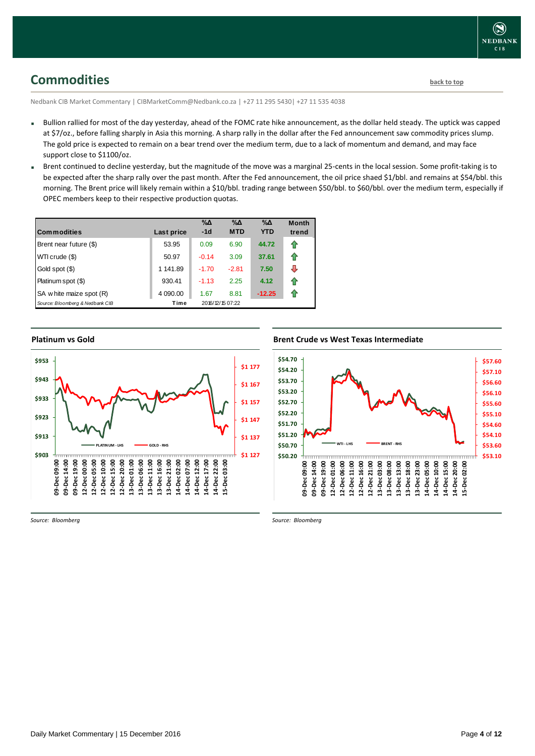<span id="page-3-0"></span>**Commodities [back to top](#page-0-0)** 

Nedbank CIB Market Commentary | CIBMarketComm@Nedbank.co.za | +27 11 295 5430| +27 11 535 4038

- Bullion rallied for most of the day yesterday, ahead of the FOMC rate hike announcement, as the dollar held steady. The uptick was capped at \$7/oz., before falling sharply in Asia this morning. A sharp rally in the dollar after the Fed announcement saw commodity prices slump. The gold price is expected to remain on a bear trend over the medium term, due to a lack of momentum and demand, and may face support close to \$1100/oz.
- Brent continued to decline vesterday, but the magnitude of the move was a marginal 25-cents in the local session. Some profit-taking is to be expected after the sharp rally over the past month. After the Fed announcement, the oil price shaed \$1/bbl. and remains at \$54/bbl. this morning. The Brent price will likely remain within a \$10/bbl. trading range between \$50/bbl. to \$60/bbl. over the medium term, especially if OPEC members keep to their respective production quotas.

| <b>Commodities</b>              | Last price | $\% \Delta$<br>$-1d$ | $\% \Delta$<br><b>MTD</b> | $\% \Delta$<br><b>YTD</b> | <b>Month</b><br>trend |
|---------------------------------|------------|----------------------|---------------------------|---------------------------|-----------------------|
| Brent near future (\$)          | 53.95      | 0.09                 | 6.90                      | 44.72                     | ⇑                     |
| WTI crude (\$)                  | 50.97      | $-0.14$              | 3.09                      | 37.61                     | ⇑                     |
| Gold spot (\$)                  | 1 141.89   | $-1.70$              | $-2.81$                   | 7.50                      | ⊕                     |
| Platinum spot (\$)              | 930.41     | $-1.13$              | 2.25                      | 4.12                      | ⇑                     |
| SA w hite maize spot (R)        | 4 090.00   | 1.67                 | 8.81                      | $-12.25$                  | ⇑                     |
| Source: Bloomberg & Nedbank CIB | Time       |                      | 2016/12/15 07:22          |                           |                       |

### **Platinum vs Gold Platinum vs. Gold**



*Source: Bloomberg*

### **Brent Crude vs West Texas Intermediate Brent Crude vs West Texas Intermediate**



*Source: Bloomberg*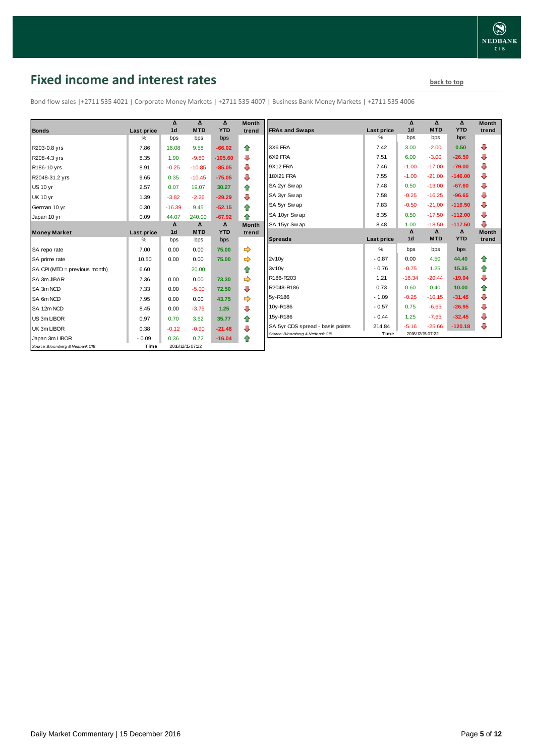# <span id="page-4-0"></span>**Fixed income and interest rates back to the line of the set of the set of the set of the set of the set of the set of the set of the set of the set of the set of the set of the set of the set of the set of the set of th**

Bond flow sales |+2711 535 4021 | Corporate Money Markets | +2711 535 4007 | Business Bank Money Markets | +2711 535 4006

|                                 |            | Δ              | $\Lambda$        | Δ          | <b>Month</b> |
|---------------------------------|------------|----------------|------------------|------------|--------------|
| <b>Bonds</b>                    | Last price | 1 <sub>d</sub> | <b>MTD</b>       | <b>YTD</b> | trend        |
|                                 | %          | bps            | bps              | bps        |              |
| R203-0.8 yrs                    | 7.86       | 16.08          | 9.58             | $-66.02$   | ⇑            |
| R208-4.3 yrs                    | 8.35       | 1.90           | $-9.80$          | $-105.60$  | ⊕            |
| R186-10 yrs                     | 8.91       | $-0.25$        | $-10.85$         | $-85.05$   | ⇩            |
| R2048-31.2 yrs                  | 9.65       | 0.35           | $-10.45$         | $-75.05$   | ⇩            |
| <b>US 10 yr</b>                 | 2.57       | 0.07           | 19.07            | 30.27      | 合            |
| <b>UK 10 yr</b>                 | 1.39       | $-3.82$        | $-2.26$          | $-29.29$   | ⊕            |
| German 10 yr                    | 0.30       | $-16.39$       | 9.45             | $-52.15$   | ♠            |
| Japan 10 yr                     | 0.09       | 44.07          | 240.00           | $-67.92$   | ♠            |
|                                 |            | Δ              | Δ                | Δ          | <b>Month</b> |
| <b>Money Market</b>             | Last price | 1 <sub>d</sub> | <b>MTD</b>       | <b>YTD</b> | trend        |
|                                 | $\%$       | bps            | bps              | bps        |              |
| SA repo rate                    | 7.00       | 0.00           | 0.00             | 75.00      | ⇛            |
| SA prime rate                   | 10.50      | 0.00           | 0.00             | 75.00      |              |
| SA CPI (MTD = previous month)   | 6.60       |                | 20.00            |            | ⇑            |
| SA 3m JIBAR                     | 7.36       | 0.00           | 0.00             | 73.30      |              |
| SA 3m NCD                       | 7.33       | 0.00           | $-5.00$          | 72.50      | ⊕            |
| SA 6m NCD                       | 7.95       | 0.00           | 0.00             | 43.75      |              |
| SA 12m NCD                      | 8.45       | 0.00           | $-3.75$          | 1.25       | ⊕            |
| US 3m LIBOR                     | 0.97       | 0.70           | 3.62             | 35.77      | ⇮            |
| UK 3m LIBOR                     | 0.38       | $-0.12$        | $-0.90$          | $-21.48$   | ⇩            |
| Japan 3m LIBOR                  | $-0.09$    | 0.36           | 0.72             | $-16.04$   | ⇑            |
| Source: Bloomberg & Nedbank CIB | Time       |                | 2016/12/15 07:22 |            |              |

| Month<br>trend | <b>FRAs and Swaps</b>            | Last price    | Δ<br>1 <sub>d</sub> | Δ<br><b>MTD</b> | Δ<br><b>YTD</b> | <b>Month</b><br>trend |
|----------------|----------------------------------|---------------|---------------------|-----------------|-----------------|-----------------------|
|                |                                  | $\%$          | bps                 | bps             | bps             |                       |
| ⇮              | 3X6 FRA                          | 7.42          | 3.00                | $-2.00$         | 0.50            | ⊕                     |
| ⊕              | 6X9 FRA                          | 7.51          | 6.00                | $-3.00$         | $-26.50$        | ⊕                     |
| ⊕              | 9X12 FRA                         | 7.46          | $-1.00$             | $-17.00$        | $-79.00$        | ⊕                     |
| ⊕              | 18X21 FRA                        | 7.55          | $-1.00$             | $-21.00$        | $-146.00$       | ⊕                     |
| 合              | SA 2yr Sw ap                     | 7.48          | 0.50                | $-13.00$        | $-67.60$        | ⊕                     |
| ⊕              | SA 3yr Sw ap                     | 7.58          | $-0.25$             | $-16.25$        | $-96.65$        | ⊕                     |
| ⇮              | SA 5yr Swap                      | 7.83          | $-0.50$             | $-21.00$        | $-116.50$       | ⊕                     |
| 合              | SA 10yr Swap                     | 8.35          | 0.50                | $-17.50$        | $-112.00$       | ⊕                     |
| Month          | SA 15yr Swap                     | 8.48          | 1.00                | $-18.50$        | $-117.50$       | ⊕                     |
|                |                                  |               |                     |                 |                 |                       |
| trend          |                                  |               | Δ                   | Δ               | Δ               | <b>Month</b>          |
|                | <b>Spreads</b>                   | Last price    | 1 <sub>d</sub>      | <b>MTD</b>      | <b>YTD</b>      | trend                 |
| ⇛              |                                  | $\frac{9}{6}$ | bps                 | bps             | bps             |                       |
| ⇛              | 2v10v                            | $-0.87$       | 0.00                | 4.50            | 44.40           | ✿                     |
| ✿              | 3v10v                            | $-0.76$       | $-0.75$             | 1.25            | 15.35           | ⇑                     |
| ⇛              | R186-R203                        | 1.21          | $-16.34$            | $-20.44$        | $-19.04$        | ⊕                     |
| ⊕              | R2048-R186                       | 0.73          | 0.60                | 0.40            | 10.00           | 合                     |
| ⇛              | 5y-R186                          | $-1.09$       | $-0.25$             | $-10.15$        | $-31.45$        | ₽                     |
|                | 10y-R186                         | $-0.57$       | 0.75                | $-6.65$         | $-26.95$        | ⊕                     |
| ⊕              | 15y-R186                         | $-0.44$       | 1.25                | $-7.65$         | $-32.45$        | ⊕                     |
| 合<br>⊕         | SA 5yr CDS spread - basis points | 214.84        | $-5.16$             | $-25.66$        | $-120.18$       | ⇩                     |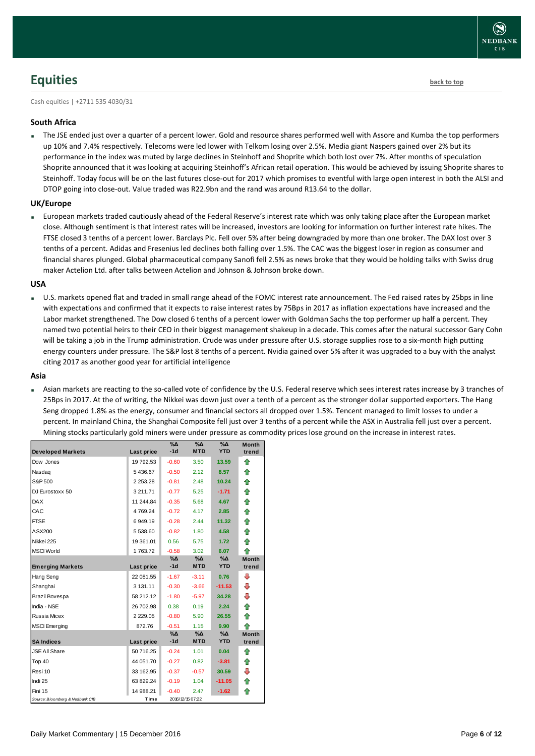

### <span id="page-5-0"></span>**Equities [back to top](#page-0-0)**

Cash equities | +2711 535 4030/31

#### **South Africa**

 The JSE ended just over a quarter of a percent lower. Gold and resource shares performed well with Assore and Kumba the top performers up 10% and 7.4% respectively. Telecoms were led lower with Telkom losing over 2.5%. Media giant Naspers gained over 2% but its performance in the index was muted by large declines in Steinhoff and Shoprite which both lost over 7%. After months of speculation Shoprite announced that it was looking at acquiring Steinhoff's African retail operation. This would be achieved by issuing Shoprite shares to Steinhoff. Today focus will be on the last futures close-out for 2017 which promises to eventful with large open interest in both the ALSI and DTOP going into close-out. Value traded was R22.9bn and the rand was around R13.64 to the dollar.

#### **UK/Europe**

 European markets traded cautiously ahead of the Federal Reserve's interest rate which was only taking place after the European market close. Although sentiment is that interest rates will be increased, investors are looking for information on further interest rate hikes. The FTSE closed 3 tenths of a percent lower. Barclays Plc. Fell over 5% after being downgraded by more than one broker. The DAX lost over 3 tenths of a percent. Adidas and Fresenius led declines both falling over 1.5%. The CAC was the biggest loser in region as consumer and financial shares plunged. Global pharmaceutical company Sanofi fell 2.5% as news broke that they would be holding talks with Swiss drug maker Actelion Ltd. after talks between Actelion and Johnson & Johnson broke down.

#### **USA**

 U.S. markets opened flat and traded in small range ahead of the FOMC interest rate announcement. The Fed raised rates by 25bps in line with expectations and confirmed that it expects to raise interest rates by 75Bps in 2017 as inflation expectations have increased and the Labor market strengthened. The Dow closed 6 tenths of a percent lower with Goldman Sachs the top performer up half a percent. They named two potential heirs to their CEO in their biggest management shakeup in a decade. This comes after the natural successor Gary Cohn will be taking a job in the Trump administration. Crude was under pressure after U.S. storage supplies rose to a six-month high putting energy counters under pressure. The S&P lost 8 tenths of a percent. Nvidia gained over 5% after it was upgraded to a buy with the analyst citing 2017 as another good year for artificial intelligence

#### **Asia**

 Asian markets are reacting to the so-called vote of confidence by the U.S. Federal reserve which sees interest rates increase by 3 tranches of 25Bps in 2017. At the of writing, the Nikkei was down just over a tenth of a percent as the stronger dollar supported exporters. The Hang Seng dropped 1.8% as the energy, consumer and financial sectors all dropped over 1.5%. Tencent managed to limit losses to under a percent. In mainland China, the Shanghai Composite fell just over 3 tenths of a percent while the ASX in Australia fell just over a percent. Mining stocks particularly gold miners were under pressure as commodity prices lose ground on the increase in interest rates.

| <b>Developed Markets</b>        | Last price    | $\% \Delta$<br>$-1d$ | %Δ<br><b>MTD</b> | %Δ<br><b>YTD</b> | <b>Month</b><br>trend |
|---------------------------------|---------------|----------------------|------------------|------------------|-----------------------|
| Dow Jones                       | 19 792.53     | $-0.60$              | 3.50             | 13.59            | ⇑                     |
| Nasdaq                          | 5436.67       | $-0.50$              | 2.12             | 8.57             | ⇑                     |
| S&P 500                         | 2 2 5 3.28    | $-0.81$              | 2.48             | 10.24            | ⇑                     |
| DJ Eurostoxx 50                 | 3 211.71      | $-0.77$              | 5.25             | $-1.71$          | ⇑                     |
| <b>DAX</b>                      | 11 244.84     | $-0.35$              | 5.68             | 4.67             | ⇮                     |
| CAC                             | 4769.24       | $-0.72$              | 4.17             | 2.85             | 合                     |
| <b>FTSE</b>                     | 6949.19       | $-0.28$              | 2.44             | 11.32            | ⇑                     |
| ASX200                          | 5 538.60      | $-0.82$              | 1.80             | 4.58             | ⇑                     |
| Nikkei 225                      | 19 361.01     | 0.56                 | 5.75             | 1.72             | ⇑                     |
| <b>MSCI World</b>               | 1763.72       | $-0.58$              | 3.02             | 6.07             | ♠                     |
|                                 |               | $\% \Delta$          | $\% \Delta$      | $\%$ $\Delta$    | <b>Month</b>          |
| <b>Emerging Markets</b>         | Last price    | $-1d$                | <b>MTD</b>       | <b>YTD</b>       | trend                 |
| Hang Seng                       | 22 081.55     | $-1.67$              | $-3.11$          | 0.76             | ⊕                     |
| Shanghai                        | 3 131.11      | $-0.30$              | $-3.66$          | $-11.53$         | ⊕                     |
| Brazil Bovespa                  | 58 212.12     | $-1.80$              | $-5.97$          | 34.28            | ⊕                     |
| India - NSE                     | 26 702.98     | 0.38                 | 0.19             | 2.24             | ⇑                     |
| <b>Russia Micex</b>             | 2 2 2 9 . 0 5 | $-0.80$              | 5.90             | 26.55            | 合                     |
| <b>MSCI</b> Emerging            | 872.76        | $-0.51$              | 1.15             | 9.90             | ⇑                     |
|                                 |               | $\% \Delta$          | %Δ               | $\%$ $\Delta$    | <b>Month</b>          |
| <b>SA Indices</b>               | Last price    | $-1d$                | <b>MTD</b>       | <b>YTD</b>       | trend                 |
| <b>JSE All Share</b>            | 50 716.25     | $-0.24$              | 1.01             | 0.04             | ⇑                     |
| Top 40                          | 44 051.70     | $-0.27$              | 0.82             | $-3.81$          | ⇑                     |
| Resi 10                         | 33 162.95     | $-0.37$              | $-0.57$          | 30.59            | ⊕                     |
| Indi 25                         | 63 829.24     | $-0.19$              | 1.04             | $-11.05$         | 合                     |
| Fini 15                         | 14 988.21     | $-0.40$              | 2.47             | $-1.62$          | ⇑                     |
| Source: Bloomberg & Nedbank CIB | Time          |                      | 2016/12/15 07:22 |                  |                       |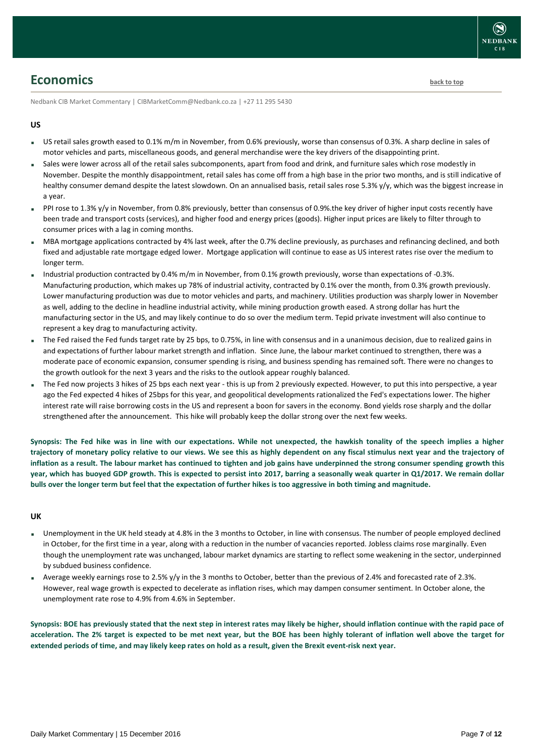### <span id="page-6-0"></span>**Economics [back to top](#page-0-0)**

Nedbank CIB Market Commentary | CIBMarketComm@Nedbank.co.za | +27 11 295 5430

#### **US**

- US retail sales growth eased to 0.1% m/m in November, from 0.6% previously, worse than consensus of 0.3%. A sharp decline in sales of motor vehicles and parts, miscellaneous goods, and general merchandise were the key drivers of the disappointing print.
- Sales were lower across all of the retail sales subcomponents, apart from food and drink, and furniture sales which rose modestly in November. Despite the monthly disappointment, retail sales has come off from a high base in the prior two months, and is still indicative of healthy consumer demand despite the latest slowdown. On an annualised basis, retail sales rose 5.3% y/y, which was the biggest increase in a year.
- PPI rose to 1.3% y/y in November, from 0.8% previously, better than consensus of 0.9% the key driver of higher input costs recently have been trade and transport costs (services), and higher food and energy prices (goods). Higher input prices are likely to filter through to consumer prices with a lag in coming months.
- MBA mortgage applications contracted by 4% last week, after the 0.7% decline previously, as purchases and refinancing declined, and both fixed and adjustable rate mortgage edged lower. Mortgage application will continue to ease as US interest rates rise over the medium to longer term.
- Industrial production contracted by 0.4% m/m in November, from 0.1% growth previously, worse than expectations of -0.3%. Manufacturing production, which makes up 78% of industrial activity, contracted by 0.1% over the month, from 0.3% growth previously. Lower manufacturing production was due to motor vehicles and parts, and machinery. Utilities production was sharply lower in November as well, adding to the decline in headline industrial activity, while mining production growth eased. A strong dollar has hurt the manufacturing sector in the US, and may likely continue to do so over the medium term. Tepid private investment will also continue to represent a key drag to manufacturing activity.
- The Fed raised the Fed funds target rate by 25 bps, to 0.75%, in line with consensus and in a unanimous decision, due to realized gains in and expectations of further labour market strength and inflation. Since June, the labour market continued to strengthen, there was a moderate pace of economic expansion, consumer spending is rising, and business spending has remained soft. There were no changes to the growth outlook for the next 3 years and the risks to the outlook appear roughly balanced.
- The Fed now projects 3 hikes of 25 bps each next year this is up from 2 previously expected. However, to put this into perspective, a year ago the Fed expected 4 hikes of 25bps for this year, and geopolitical developments rationalized the Fed's expectations lower. The higher interest rate will raise borrowing costs in the US and represent a boon for savers in the economy. Bond yields rose sharply and the dollar strengthened after the announcement. This hike will probably keep the dollar strong over the next few weeks.

**Synopsis: The Fed hike was in line with our expectations. While not unexpected, the hawkish tonality of the speech implies a higher trajectory of monetary policy relative to our views. We see this as highly dependent on any fiscal stimulus next year and the trajectory of inflation as a result. The labour market has continued to tighten and job gains have underpinned the strong consumer spending growth this year, which has buoyed GDP growth. This is expected to persist into 2017, barring a seasonally weak quarter in Q1/2017. We remain dollar bulls over the longer term but feel that the expectation of further hikes is too aggressive in both timing and magnitude.** 

#### **UK**

- Unemployment in the UK held steady at 4.8% in the 3 months to October, in line with consensus. The number of people employed declined in October, for the first time in a year, along with a reduction in the number of vacancies reported. Jobless claims rose marginally. Even though the unemployment rate was unchanged, labour market dynamics are starting to reflect some weakening in the sector, underpinned by subdued business confidence.
- Average weekly earnings rose to 2.5% y/y in the 3 months to October, better than the previous of 2.4% and forecasted rate of 2.3%. However, real wage growth is expected to decelerate as inflation rises, which may dampen consumer sentiment. In October alone, the unemployment rate rose to 4.9% from 4.6% in September.

**Synopsis: BOE has previously stated that the next step in interest rates may likely be higher, should inflation continue with the rapid pace of acceleration. The 2% target is expected to be met next year, but the BOE has been highly tolerant of inflation well above the target for extended periods of time, and may likely keep rates on hold as a result, given the Brexit event-risk next year.**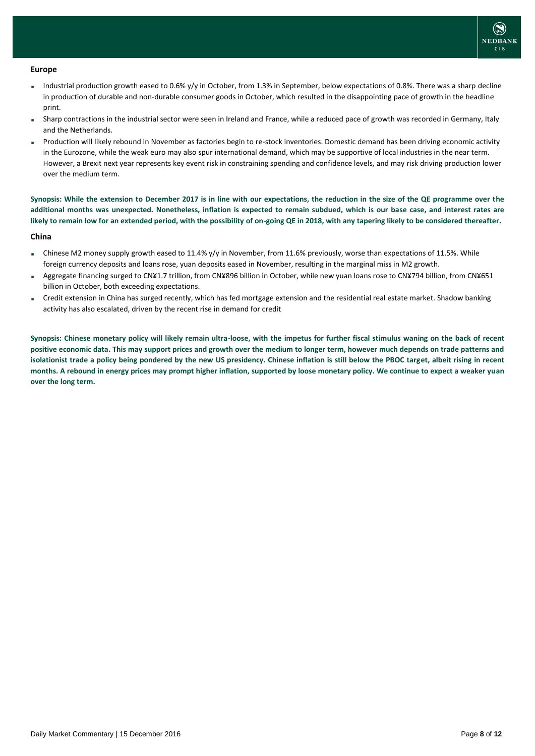

#### **Europe**

- Industrial production growth eased to 0.6% y/y in October, from 1.3% in September, below expectations of 0.8%. There was a sharp decline in production of durable and non-durable consumer goods in October, which resulted in the disappointing pace of growth in the headline print.
- Sharp contractions in the industrial sector were seen in Ireland and France, while a reduced pace of growth was recorded in Germany, Italy and the Netherlands.
- Production will likely rebound in November as factories begin to re-stock inventories. Domestic demand has been driving economic activity in the Eurozone, while the weak euro may also spur international demand, which may be supportive of local industries in the near term. However, a Brexit next year represents key event risk in constraining spending and confidence levels, and may risk driving production lower over the medium term.

**Synopsis: While the extension to December 2017 is in line with our expectations, the reduction in the size of the QE programme over the additional months was unexpected. Nonetheless, inflation is expected to remain subdued, which is our base case, and interest rates are likely to remain low for an extended period, with the possibility of on-going QE in 2018, with any tapering likely to be considered thereafter.**

#### **China**

- Chinese M2 money supply growth eased to 11.4% y/y in November, from 11.6% previously, worse than expectations of 11.5%. While foreign currency deposits and loans rose, yuan deposits eased in November, resulting in the marginal miss in M2 growth.
- Aggregate financing surged to CN¥1.7 trillion, from CN¥896 billion in October, while new yuan loans rose to CN¥794 billion, from CN¥651 billion in October, both exceeding expectations.
- Credit extension in China has surged recently, which has fed mortgage extension and the residential real estate market. Shadow banking activity has also escalated, driven by the recent rise in demand for credit

**Synopsis: Chinese monetary policy will likely remain ultra-loose, with the impetus for further fiscal stimulus waning on the back of recent positive economic data. This may support prices and growth over the medium to longer term, however much depends on trade patterns and isolationist trade a policy being pondered by the new US presidency. Chinese inflation is still below the PBOC target, albeit rising in recent months. A rebound in energy prices may prompt higher inflation, supported by loose monetary policy. We continue to expect a weaker yuan over the long term.**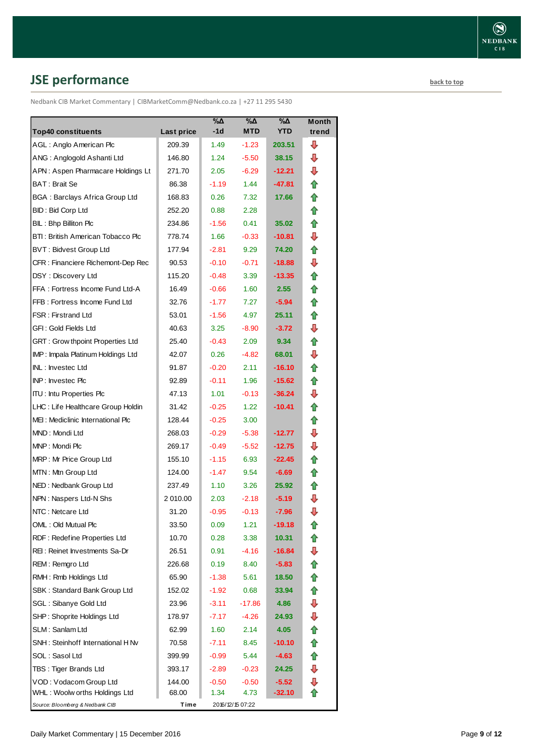# <span id="page-8-0"></span>**JSE performance [back to top](#page-0-0)**

Nedbank CIB Market Commentary | CIBMarketComm@Nedbank.co.za | +27 11 295 5430

| <b>Top40 constituents</b>                                         |                      | %Δ<br>$-1d$ | %Δ<br><b>MTD</b> | %Δ<br><b>YTD</b> | <b>Month</b><br>trend |
|-------------------------------------------------------------------|----------------------|-------------|------------------|------------------|-----------------------|
| AGL: Anglo American Plc                                           | Last price<br>209.39 | 1.49        | $-1.23$          | 203.51           | ⊕                     |
| ANG: Anglogold Ashanti Ltd                                        | 146.80               | 1.24        | $-5.50$          | 38.15            | ⊕                     |
| APN: Aspen Pharmacare Holdings Lt                                 | 271.70               | 2.05        | $-6.29$          | $-12.21$         | ⊕                     |
| BAT: Brait Se                                                     | 86.38                | $-1.19$     | 1.44             | -47.81           | ⇑                     |
|                                                                   |                      |             | 7.32             | 17.66            | ✿                     |
| <b>BGA: Barclays Africa Group Ltd</b><br><b>BID: Bid Corp Ltd</b> | 168.83               | 0.26        | 2.28             |                  | ⇑                     |
|                                                                   | 252.20               | 0.88        |                  |                  |                       |
| BIL: Bhp Billiton Plc                                             | 234.86               | $-1.56$     | 0.41             | 35.02            | ⇑<br>⊕                |
| BTI: British American Tobacco Plc                                 | 778.74               | 1.66        | $-0.33$          | -10.81           |                       |
| <b>BVT: Bidvest Group Ltd</b>                                     | 177.94               | $-2.81$     | 9.29             | 74.20            | ⇑                     |
| CFR : Financiere Richemont-Dep Rec                                | 90.53                | $-0.10$     | $-0.71$          | $-18.88$         | ⇩                     |
| DSY: Discovery Ltd                                                | 115.20               | $-0.48$     | 3.39             | $-13.35$         | ⇑                     |
| FFA: Fortress Income Fund Ltd-A                                   | 16.49                | $-0.66$     | 1.60             | 2.55             | 合                     |
| FFB: Fortress Income Fund Ltd                                     | 32.76                | $-1.77$     | 7.27             | $-5.94$          | ⇑                     |
| <b>FSR: Firstrand Ltd</b>                                         | 53.01                | $-1.56$     | 4.97             | 25.11            | 合                     |
| GFI: Gold Fields Ltd                                              | 40.63                | 3.25        | $-8.90$          | $-3.72$          | ⊕                     |
| GRT : Grow thpoint Properties Ltd                                 | 25.40                | $-0.43$     | 2.09             | 9.34             | ✿                     |
| IMP: Impala Platinum Holdings Ltd                                 | 42.07                | 0.26        | $-4.82$          | 68.01            | ⇩                     |
| INL: Investec Ltd                                                 | 91.87                | $-0.20$     | 2.11             | $-16.10$         | ⇑                     |
| INP: Investec Plc                                                 | 92.89                | $-0.11$     | 1.96             | -15.62           | ✿                     |
| <b>ITU: Intu Properties Plc</b>                                   | 47.13                | 1.01        | $-0.13$          | $-36.24$         | ⇩                     |
| LHC: Life Healthcare Group Holdin                                 | 31.42                | $-0.25$     | 1.22             | $-10.41$         | ✿                     |
| MEI: Mediclinic International Plc                                 | 128.44               | $-0.25$     | 3.00             |                  | ⇑                     |
| MND: Mondi Ltd                                                    | 268.03               | $-0.29$     | $-5.38$          | -12.77           | ⇩                     |
| MNP: Mondi Plc                                                    | 269.17               | $-0.49$     | $-5.52$          | $-12.75$         | ⇩                     |
| MRP: Mr Price Group Ltd                                           | 155.10               | $-1.15$     | 6.93             | $-22.45$         | ⇑                     |
| MTN: Mtn Group Ltd                                                | 124.00               | $-1.47$     | 9.54             | $-6.69$          | ⇑                     |
| NED: Nedbank Group Ltd                                            | 237.49               | 1.10        | 3.26             | 25.92            | ⇑                     |
| NPN: Naspers Ltd-N Shs                                            | 2 010.00             | 2.03        | $-2.18$          | $-5.19$          | ⇩                     |
| NTC: Netcare Ltd                                                  | 31.20                | $-0.95$     | $-0.13$          | $-7.96$          | ⇩                     |
| OML: Old Mutual Plc                                               | 33.50                | 0.09        | 1.21             | -19.18           | t                     |
| RDF: Redefine Properties Ltd                                      | 10.70                | 0.28        | 3.38             | 10.31            |                       |
| REI: Reinet Investments Sa-Dr                                     | 26.51                | 0.91        | $-4.16$          | $-16.84$         | ⇩                     |
| REM: Remgro Ltd                                                   | 226.68               | 0.19        | 8.40             | $-5.83$          | ⇑                     |
| RMH: Rmb Holdings Ltd                                             | 65.90                | $-1.38$     | 5.61             | 18.50            | ✿                     |
| SBK: Standard Bank Group Ltd                                      | 152.02               | $-1.92$     | 0.68             | 33.94            | ⇑                     |
| SGL : Sibanye Gold Ltd                                            | 23.96                | $-3.11$     | $-17.86$         | 4.86             | ⊕                     |
| SHP: Shoprite Holdings Ltd                                        | 178.97               | $-7.17$     | $-4.26$          | 24.93            | ⇩                     |
| SLM: Sanlam Ltd                                                   | 62.99                | 1.60        | 2.14             | 4.05             | ⇑                     |
| SNH: Steinhoff International H Nv                                 | 70.58                | -7.11       | 8.45             | $-10.10$         | ✿                     |
| SOL: Sasol Ltd                                                    | 399.99               | $-0.99$     | 5.44             | $-4.63$          | 合                     |
| TBS: Tiger Brands Ltd                                             | 393.17               | $-2.89$     | $-0.23$          | 24.25            | ⊕                     |
| VOD: Vodacom Group Ltd                                            | 144.00               | $-0.50$     | $-0.50$          | $-5.52$          | ⊕                     |
| WHL: Woolw orths Holdings Ltd                                     | 68.00                | 1.34        | 4.73             | $-32.10$         |                       |
| Source: Bloomberg & Nedbank CIB                                   | Time                 |             | 2016/12/15 07:22 |                  |                       |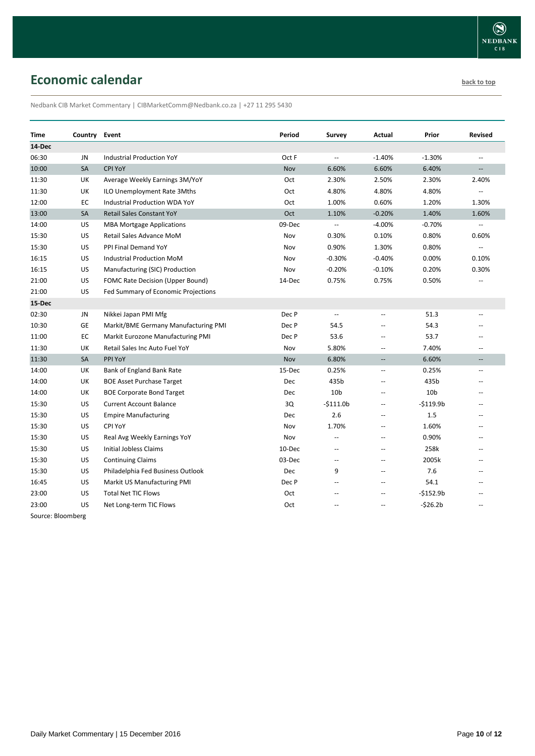# <span id="page-9-0"></span>**Economic calendar [back to top](#page-0-0) back to top**

Nedbank CIB Market Commentary | CIBMarketComm@Nedbank.co.za | +27 11 295 5430

| Time              | Country | Event                                | Period     | <b>Survey</b>            | Actual                                              | Prior           | <b>Revised</b>           |
|-------------------|---------|--------------------------------------|------------|--------------------------|-----------------------------------------------------|-----------------|--------------------------|
| 14-Dec            |         |                                      |            |                          |                                                     |                 |                          |
| 06:30             | JN      | <b>Industrial Production YoY</b>     | Oct F      | u.                       | $-1.40%$                                            | $-1.30%$        | $\mathbf{u}$             |
| 10:00             | SA      | CPI YoY                              | Nov        | 6.60%                    | 6.60%                                               | 6.40%           | $\overline{\phantom{a}}$ |
| 11:30             | UK      | Average Weekly Earnings 3M/YoY       | Oct        | 2.30%                    | 2.50%                                               | 2.30%           | 2.40%                    |
| 11:30             | UK      | ILO Unemployment Rate 3Mths          | Oct        | 4.80%                    | 4.80%                                               | 4.80%           | $\overline{\phantom{a}}$ |
| 12:00             | EC      | <b>Industrial Production WDA YoY</b> | Oct        | 1.00%                    | 0.60%                                               | 1.20%           | 1.30%                    |
| 13:00             | SA      | <b>Retail Sales Constant YoY</b>     | Oct        | 1.10%                    | $-0.20%$                                            | 1.40%           | 1.60%                    |
| 14:00             | US      | <b>MBA Mortgage Applications</b>     | 09-Dec     | $\overline{\phantom{a}}$ | $-4.00%$                                            | $-0.70%$        |                          |
| 15:30             | US      | Retail Sales Advance MoM             | Nov        | 0.30%                    | 0.10%                                               | 0.80%           | 0.60%                    |
| 15:30             | US      | PPI Final Demand YoY                 | Nov        | 0.90%                    | 1.30%                                               | 0.80%           | $\mathbf{u}$             |
| 16:15             | US      | Industrial Production MoM            | Nov        | $-0.30%$                 | $-0.40%$                                            | 0.00%           | 0.10%                    |
| 16:15             | US      | Manufacturing (SIC) Production       | Nov        | $-0.20%$                 | $-0.10%$                                            | 0.20%           | 0.30%                    |
| 21:00             | US      | FOMC Rate Decision (Upper Bound)     | 14-Dec     | 0.75%                    | 0.75%                                               | 0.50%           |                          |
| 21:00             | US      | Fed Summary of Economic Projections  |            |                          |                                                     |                 |                          |
| 15-Dec            |         |                                      |            |                          |                                                     |                 |                          |
| 02:30             | JN      | Nikkei Japan PMI Mfg                 | Dec P      | $\overline{\phantom{a}}$ | Ξ.                                                  | 51.3            |                          |
| 10:30             | GE      | Markit/BME Germany Manufacturing PMI | Dec P      | 54.5                     |                                                     | 54.3            |                          |
| 11:00             | EC      | Markit Eurozone Manufacturing PMI    | Dec P      | 53.6                     | $\overline{a}$                                      | 53.7            |                          |
| 11:30             | UK      | Retail Sales Inc Auto Fuel YoY       | Nov        | 5.80%                    | $\overline{\phantom{a}}$                            | 7.40%           | $\overline{\phantom{a}}$ |
| 11:30             | SA      | PPI YoY                              | Nov        | 6.80%                    | $\overline{\phantom{a}}$                            | 6.60%           | $\overline{\phantom{a}}$ |
| 14:00             | UK      | Bank of England Bank Rate            | 15-Dec     | 0.25%                    | $\hspace{0.05cm} -\hspace{0.05cm} -\hspace{0.05cm}$ | 0.25%           | $\hspace{0.05cm} -$      |
| 14:00             | UK      | <b>BOE Asset Purchase Target</b>     | Dec        | 435b                     | Ξ.                                                  | 435b            | $-$                      |
| 14:00             | UK      | <b>BOE Corporate Bond Target</b>     | <b>Dec</b> | 10 <sub>b</sub>          | --                                                  | 10 <sub>b</sub> |                          |
| 15:30             | US      | <b>Current Account Balance</b>       | 3Q         | $-$111.0b$               | Ξ.                                                  | $-$119.9b$      | $\overline{\phantom{a}}$ |
| 15:30             | US      | <b>Empire Manufacturing</b>          | <b>Dec</b> | 2.6                      | Ξ.                                                  | 1.5             |                          |
| 15:30             | US      | CPI YoY                              | Nov        | 1.70%                    | Ξ.                                                  | 1.60%           | $\overline{\phantom{a}}$ |
| 15:30             | US      | Real Avg Weekly Earnings YoY         | Nov        | $\overline{a}$           | $\overline{a}$                                      | 0.90%           | $\overline{a}$           |
| 15:30             | US      | Initial Jobless Claims               | 10-Dec     | $\overline{a}$           | $\overline{a}$                                      | 258k            | $\overline{a}$           |
| 15:30             | US      | <b>Continuing Claims</b>             | 03-Dec     | --                       | --                                                  | 2005k           |                          |
| 15:30             | US      | Philadelphia Fed Business Outlook    | Dec        | 9                        | $\overline{a}$                                      | 7.6             |                          |
| 16:45             | US      | Markit US Manufacturing PMI          | Dec P      | --                       | $\overline{a}$                                      | 54.1            |                          |
| 23:00             | US      | <b>Total Net TIC Flows</b>           | Oct        | $\overline{a}$           | $\overline{a}$                                      | $-$152.9b$      |                          |
| 23:00             | US      | Net Long-term TIC Flows              | Oct        | $\overline{a}$           | $\overline{a}$                                      | $-526.2b$       | $\sim$                   |
| Course: Bloomborg |         |                                      |            |                          |                                                     |                 |                          |

Source: Bloomberg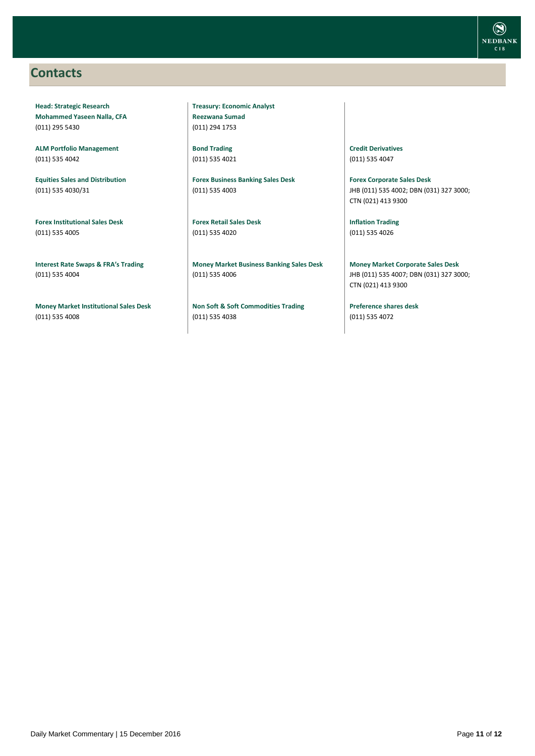### <span id="page-10-0"></span>**Contacts**

**Head: Strategic Research Mohammed Yaseen Nalla, CFA** (011) 295 5430

**ALM Portfolio Management** (011) 535 4042

**Equities Sales and Distribution** (011) 535 4030/31

**Forex Institutional Sales Desk** (011) 535 4005

**Interest Rate Swaps & FRA's Trading** (011) 535 4004

**Money Market Institutional Sales Desk** (011) 535 4008

**Treasury: Economic Analyst Reezwana Sumad** (011) 294 1753

**Bond Trading** (011) 535 4021

**Forex Business Banking Sales Desk** (011) 535 4003

**Forex Retail Sales Desk** (011) 535 4020

**Money Market Business Banking Sales Desk** (011) 535 4006

**Non Soft & Soft Commodities Trading** (011) 535 4038

**Credit Derivatives**  (011) 535 4047

**Forex Corporate Sales Desk** JHB (011) 535 4002; DBN (031) 327 3000; CTN (021) 413 9300

**Inflation Trading** (011) 535 4026

**Money Market Corporate Sales Desk** JHB (011) 535 4007; DBN (031) 327 3000; CTN (021) 413 9300

**Preference shares desk** (011) 535 4072